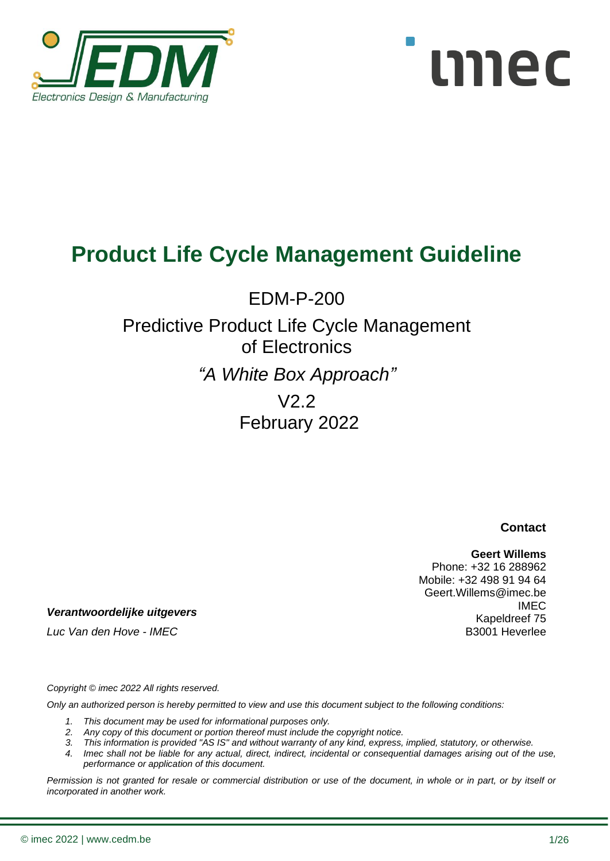



EDM-P-200

# Predictive Product Life Cycle Management of Electronics

*"A White Box Approach"*

V2.2 February 2022

**Contact**

#### **Geert Willems**

Phone: +32 16 288962 Mobile: +32 498 91 94 64 Geert.Willems@imec.be IMEC Kapeldreef 75 B3001 Heverlee

*Verantwoordelijke uitgevers*

*Luc Van den Hove - IMEC*

*Copyright © imec 2022 All rights reserved.* 

*Only an authorized person is hereby permitted to view and use this document subject to the following conditions:* 

- *1. This document may be used for informational purposes only.*
- *2. Any copy of this document or portion thereof must include the copyright notice.*
- *3. This information is provided "AS IS" and without warranty of any kind, express, implied, statutory, or otherwise.*
- *4. Imec shall not be liable for any actual, direct, indirect, incidental or consequential damages arising out of the use, performance or application of this document.*

*Permission is not granted for resale or commercial distribution or use of the document, in whole or in part, or by itself or incorporated in another work.*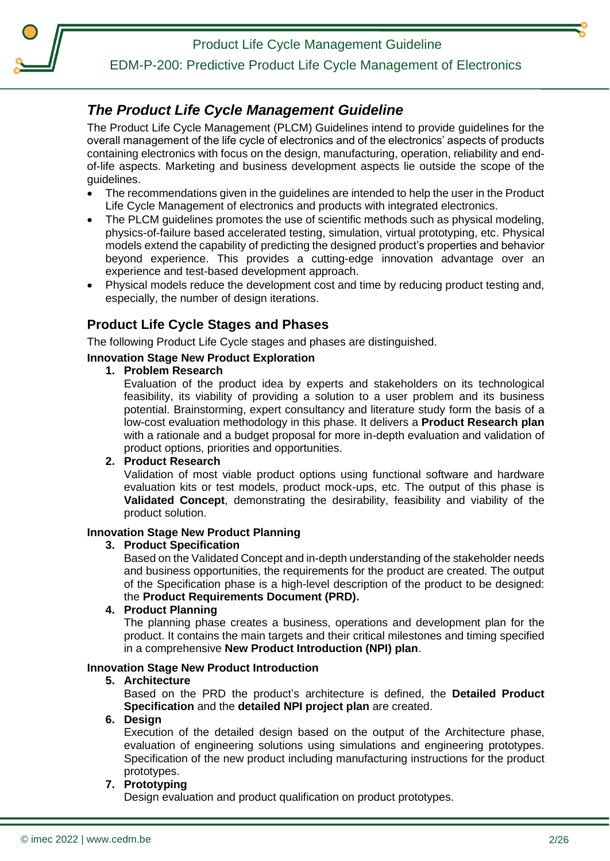EDM-P-200: Predictive Product Life Cycle Management of Electronics

### <span id="page-1-0"></span>*The Product Life Cycle Management Guideline*

The Product Life Cycle Management (PLCM) Guidelines intend to provide guidelines for the overall management of the life cycle of electronics and of the electronics' aspects of products containing electronics with focus on the design, manufacturing, operation, reliability and endof-life aspects. Marketing and business development aspects lie outside the scope of the guidelines.

- The recommendations given in the guidelines are intended to help the user in the Product Life Cycle Management of electronics and products with integrated electronics.
- The PLCM guidelines promotes the use of scientific methods such as physical modeling, physics-of-failure based accelerated testing, simulation, virtual prototyping, etc. Physical models extend the capability of predicting the designed product's properties and behavior beyond experience. This provides a cutting-edge innovation advantage over an experience and test-based development approach.
- Physical models reduce the development cost and time by reducing product testing and, especially, the number of design iterations.

### **Product Life Cycle Stages and Phases**

The following Product Life Cycle stages and phases are distinguished.

#### **Innovation Stage New Product Exploration**

**1. Problem Research**

Evaluation of the product idea by experts and stakeholders on its technological feasibility, its viability of providing a solution to a user problem and its business potential. Brainstorming, expert consultancy and literature study form the basis of a low-cost evaluation methodology in this phase. It delivers a **Product Research plan** with a rationale and a budget proposal for more in-depth evaluation and validation of product options, priorities and opportunities.

**2. Product Research**

Validation of most viable product options using functional software and hardware evaluation kits or test models, product mock-ups, etc. The output of this phase is **Validated Concept**, demonstrating the desirability, feasibility and viability of the product solution.

#### **Innovation Stage New Product Planning**

#### **3. Product Specification**

Based on the Validated Concept and in-depth understanding of the stakeholder needs and business opportunities, the requirements for the product are created. The output of the Specification phase is a high-level description of the product to be designed: the **Product Requirements Document (PRD).**

#### **4. Product Planning**

The planning phase creates a business, operations and development plan for the product. It contains the main targets and their critical milestones and timing specified in a comprehensive **New Product Introduction (NPI) plan**.

#### **Innovation Stage New Product Introduction**

#### **5. Architecture**

Based on the PRD the product's architecture is defined, the **Detailed Product Specification** and the **detailed NPI project plan** are created.

#### **6. Design**

Execution of the detailed design based on the output of the Architecture phase, evaluation of engineering solutions using simulations and engineering prototypes. Specification of the new product including manufacturing instructions for the product prototypes.

#### **7. Prototyping**

Design evaluation and product qualification on product prototypes.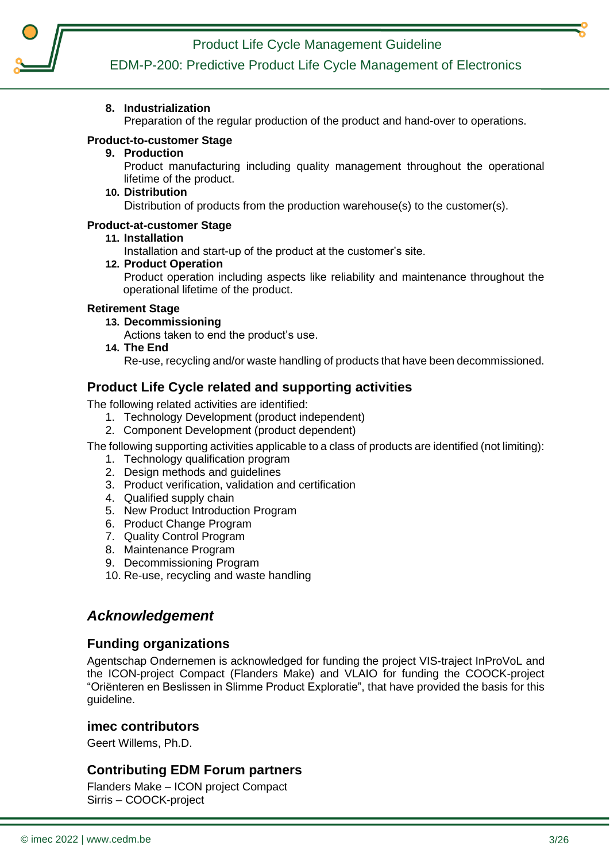

**8. Industrialization**

Preparation of the regular production of the product and hand-over to operations.

#### **Product-to-customer Stage**

#### **9. Production**

Product manufacturing including quality management throughout the operational lifetime of the product.

#### **10. Distribution**

Distribution of products from the production warehouse(s) to the customer(s).

#### **Product-at-customer Stage**

#### **11. Installation**

Installation and start-up of the product at the customer's site.

**12. Product Operation**

Product operation including aspects like reliability and maintenance throughout the operational lifetime of the product.

#### **Retirement Stage**

**13. Decommissioning**

Actions taken to end the product's use.

**14. The End** 

Re-use, recycling and/or waste handling of products that have been decommissioned.

#### **Product Life Cycle related and supporting activities**

The following related activities are identified:

- 1. Technology Development (product independent)
- 2. Component Development (product dependent)

The following supporting activities applicable to a class of products are identified (not limiting):

- 1. Technology qualification program
- 2. Design methods and guidelines
- 3. Product verification, validation and certification
- 4. Qualified supply chain
- 5. New Product Introduction Program
- 6. Product Change Program
- 7. Quality Control Program
- 8. Maintenance Program
- 9. Decommissioning Program
- 10. Re-use, recycling and waste handling

#### <span id="page-2-0"></span>*Acknowledgement*

#### **Funding organizations**

Agentschap Ondernemen is acknowledged for funding the project VIS-traject InProVoL and the ICON-project Compact (Flanders Make) and VLAIO for funding the COOCK-project "Oriënteren en Beslissen in Slimme Product Exploratie", that have provided the basis for this guideline.

#### **imec contributors**

Geert Willems, Ph.D.

#### **Contributing EDM Forum partners**

Flanders Make – ICON project Compact Sirris – COOCK-project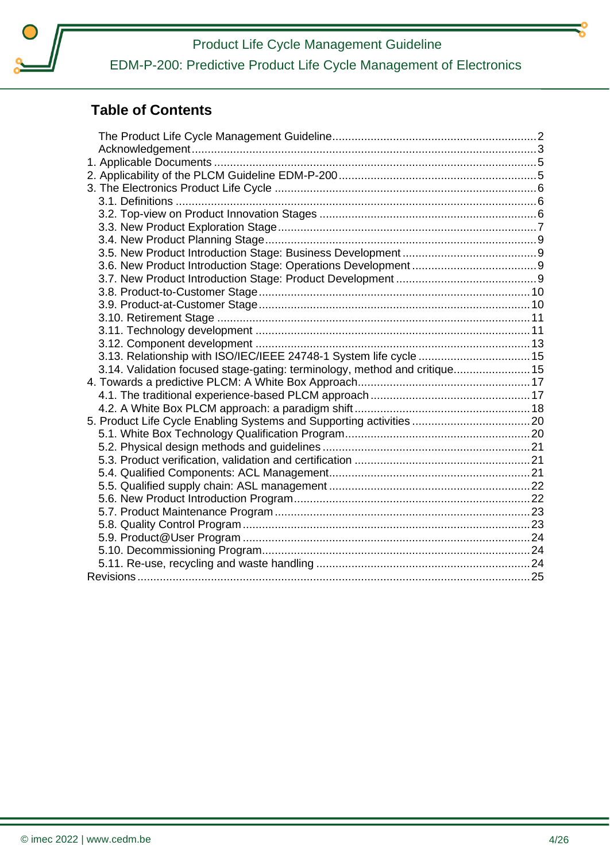

## **Table of Contents**

| 3.13. Relationship with ISO/IEC/IEEE 24748-1 System life cycle  15         |  |
|----------------------------------------------------------------------------|--|
| 3.14. Validation focused stage-gating: terminology, method and critique 15 |  |
|                                                                            |  |
|                                                                            |  |
|                                                                            |  |
|                                                                            |  |
|                                                                            |  |
|                                                                            |  |
|                                                                            |  |
|                                                                            |  |
|                                                                            |  |
|                                                                            |  |
|                                                                            |  |
|                                                                            |  |
|                                                                            |  |
|                                                                            |  |
|                                                                            |  |
|                                                                            |  |